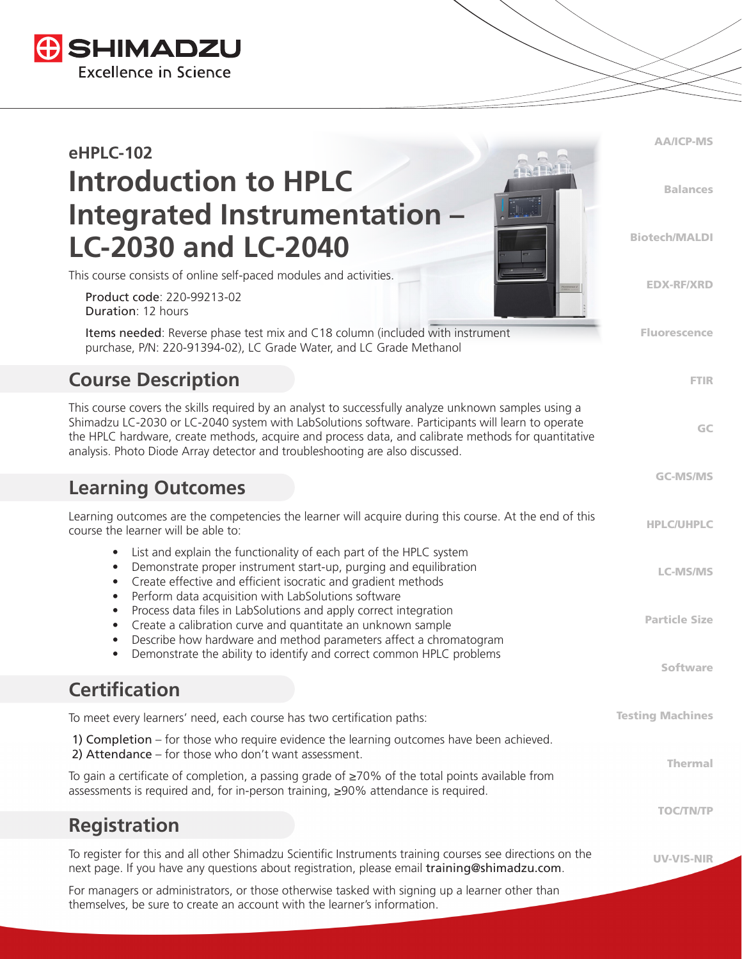

| <b>eHPLC-102</b>                                                                                                                                                                                                                                                                                                                                                                                 | <b>AA/ICP-MS</b>        |
|--------------------------------------------------------------------------------------------------------------------------------------------------------------------------------------------------------------------------------------------------------------------------------------------------------------------------------------------------------------------------------------------------|-------------------------|
| <b>Introduction to HPLC</b><br>Integrated Instrumentation -                                                                                                                                                                                                                                                                                                                                      | <b>Balances</b>         |
| <b>LC-2030 and LC-2040</b>                                                                                                                                                                                                                                                                                                                                                                       | <b>Biotech/MALDI</b>    |
| This course consists of online self-paced modules and activities.<br>Product code: 220-99213-02<br><b>Duration: 12 hours</b>                                                                                                                                                                                                                                                                     | <b>EDX-RF/XRD</b>       |
| Items needed: Reverse phase test mix and C18 column (included with instrument<br>purchase, P/N: 220-91394-02), LC Grade Water, and LC Grade Methanol                                                                                                                                                                                                                                             | <b>Fluorescence</b>     |
| <b>Course Description</b>                                                                                                                                                                                                                                                                                                                                                                        | <b>FTIR</b>             |
| This course covers the skills required by an analyst to successfully analyze unknown samples using a<br>Shimadzu LC-2030 or LC-2040 system with LabSolutions software. Participants will learn to operate<br>the HPLC hardware, create methods, acquire and process data, and calibrate methods for quantitative<br>analysis. Photo Diode Array detector and troubleshooting are also discussed. | GC                      |
| <b>Learning Outcomes</b>                                                                                                                                                                                                                                                                                                                                                                         | <b>GC-MS/MS</b>         |
| Learning outcomes are the competencies the learner will acquire during this course. At the end of this<br>course the learner will be able to:                                                                                                                                                                                                                                                    | <b>HPLC/UHPLC</b>       |
| List and explain the functionality of each part of the HPLC system<br>$\bullet$<br>Demonstrate proper instrument start-up, purging and equilibration<br>$\bullet$<br>Create effective and efficient isocratic and gradient methods<br>$\bullet$<br>Perform data acquisition with LabSolutions software<br>$\bullet$                                                                              | <b>LC-MS/MS</b>         |
| Process data files in LabSolutions and apply correct integration<br>$\bullet$<br>Create a calibration curve and quantitate an unknown sample<br>$\bullet$<br>Describe how hardware and method parameters affect a chromatogram<br>$\bullet$                                                                                                                                                      | <b>Particle Size</b>    |
| Demonstrate the ability to identify and correct common HPLC problems<br>$\bullet$                                                                                                                                                                                                                                                                                                                | <b>Software</b>         |
| <b>Certification</b>                                                                                                                                                                                                                                                                                                                                                                             |                         |
| To meet every learners' need, each course has two certification paths:                                                                                                                                                                                                                                                                                                                           | <b>Testing Machines</b> |
| 1) Completion – for those who require evidence the learning outcomes have been achieved.<br>2) Attendance - for those who don't want assessment.                                                                                                                                                                                                                                                 | <b>Thermal</b>          |
| To gain a certificate of completion, a passing grade of $\geq$ 70% of the total points available from<br>assessments is required and, for in-person training, ≥90% attendance is required.                                                                                                                                                                                                       |                         |
| <b>Registration</b>                                                                                                                                                                                                                                                                                                                                                                              | <b>TOC/TN/TP</b>        |
| To register for this and all other Shimadzu Scientific Instruments training courses see directions on the<br>next page. If you have any questions about registration, please email training@shimadzu.com.                                                                                                                                                                                        | UV-VIS-NIR              |
| For managers or administrators, or those otherwise tasked with signing up a learner other than                                                                                                                                                                                                                                                                                                   |                         |

themselves, be sure to create an account with the learner's information.